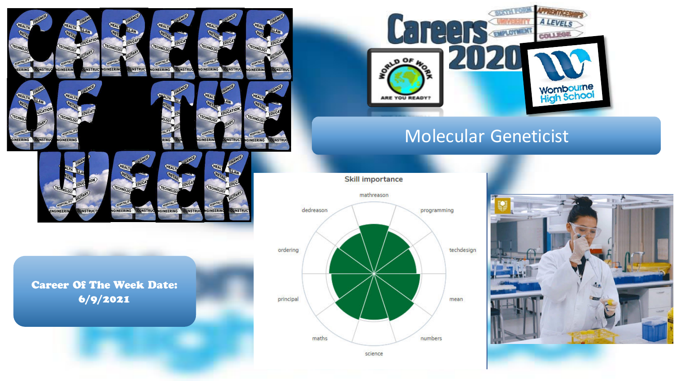

GINEERING

INEER

**DNSTRU** 



 $\Gamma \cdot \Gamma$ 

 $00F$ 

**CONTROL** 

**THE WINDOWS** 

 $1.308$ **A LEVELS** 

**COLLEGE** 



science



Career Of The Week Date: 6/9/2021

**ONSTRUC** 

GINFFR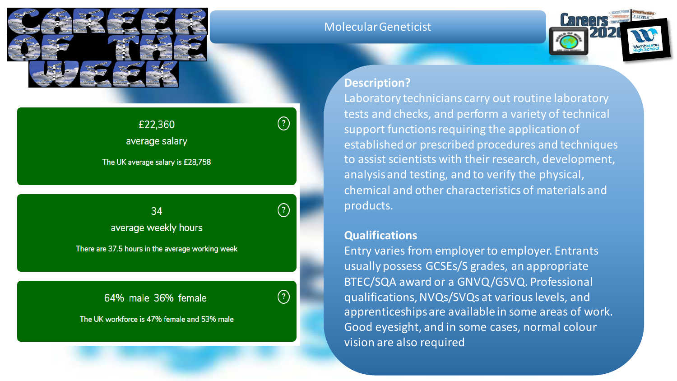

| £22,360                          |  |
|----------------------------------|--|
| average salary                   |  |
| The UK average salary is £28,758 |  |
|                                  |  |

 $\left( 2\right)$ 34 average weekly hours There are 37.5 hours in the average working week

64% male 36% female

 $\left( 2\right)$ 

The UK workforce is 47% female and 53% male

## Molecular Geneticist



## **Description?**

Laboratory technicians carry out routine laboratory tests and checks, and perform a variety of technical support functions requiring the application of established or prescribed procedures and techniques to assist scientists with their research, development, analysis and testing, and to verify the physical, chemical and other characteristics of materials and products.

## **Qualifications**

Entry varies from employer to employer. Entrants usually possess GCSEs/S grades, an appropriate BTEC/SQA award or a GNVQ/GSVQ. Professional qualifications, NVQs/SVQs at various levels, and apprenticeships are available in some areas of work. Good eyesight, and in some cases, normal colour vision are also required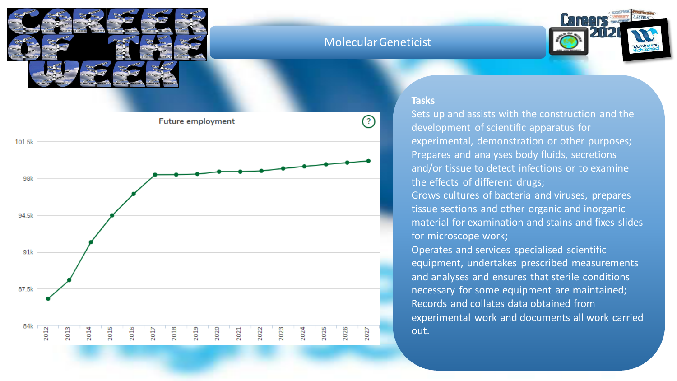

# Molecular Geneticist





#### **Tasks**

Sets up and assists with the construction and the development of scientific apparatus for experimental, demonstration or other purposes; Prepares and analyses body fluids, secretions and/or tissue to detect infections or to examine the effects of different drugs; Grows cultures of bacteria and viruses, prepares tissue sections and other organic and inorganic

material for examination and stains and fixes slides for microscope work;

Operates and services specialised scientific equipment, undertakes prescribed measurements and analyses and ensures that sterile conditions necessary for some equipment are maintained; Records and collates data obtained from experimental work and documents all work carried out.